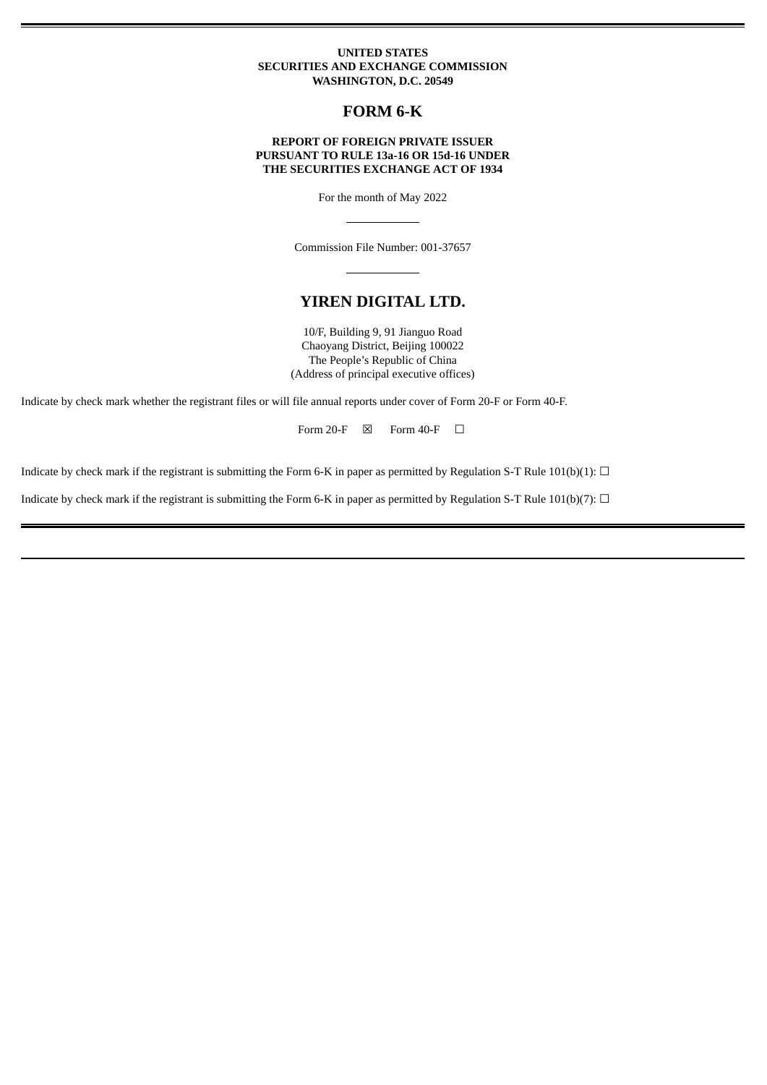### **UNITED STATES SECURITIES AND EXCHANGE COMMISSION WASHINGTON, D.C. 20549**

# **FORM 6-K**

### **REPORT OF FOREIGN PRIVATE ISSUER PURSUANT TO RULE 13a-16 OR 15d-16 UNDER THE SECURITIES EXCHANGE ACT OF 1934**

For the month of May 2022

Commission File Number: 001-37657

## **YIREN DIGITAL LTD.**

10/F, Building 9, 91 Jianguo Road Chaoyang District, Beijing 100022 The People's Republic of China (Address of principal executive offices)

Indicate by check mark whether the registrant files or will file annual reports under cover of Form 20-F or Form 40-F.

Form 20-F  $\boxtimes$  Form 40-F  $\Box$ 

Indicate by check mark if the registrant is submitting the Form 6-K in paper as permitted by Regulation S-T Rule 101(b)(1):  $\Box$ 

Indicate by check mark if the registrant is submitting the Form 6-K in paper as permitted by Regulation S-T Rule 101(b)(7):  $\Box$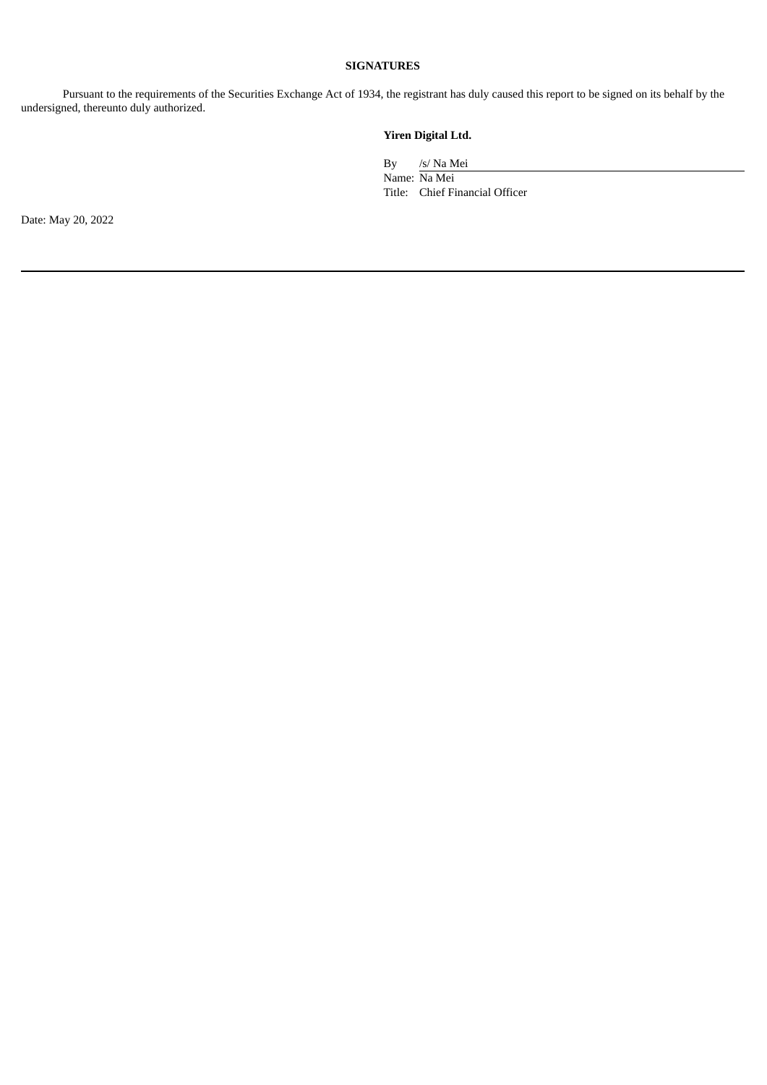## **SIGNATURES**

Pursuant to the requirements of the Securities Exchange Act of 1934, the registrant has duly caused this report to be signed on its behalf by the undersigned, thereunto duly authorized.

# **Yiren Digital Ltd.**

By /s/ Na Mei

Name: Na Mei Title: Chief Financial Officer

Date: May 20, 2022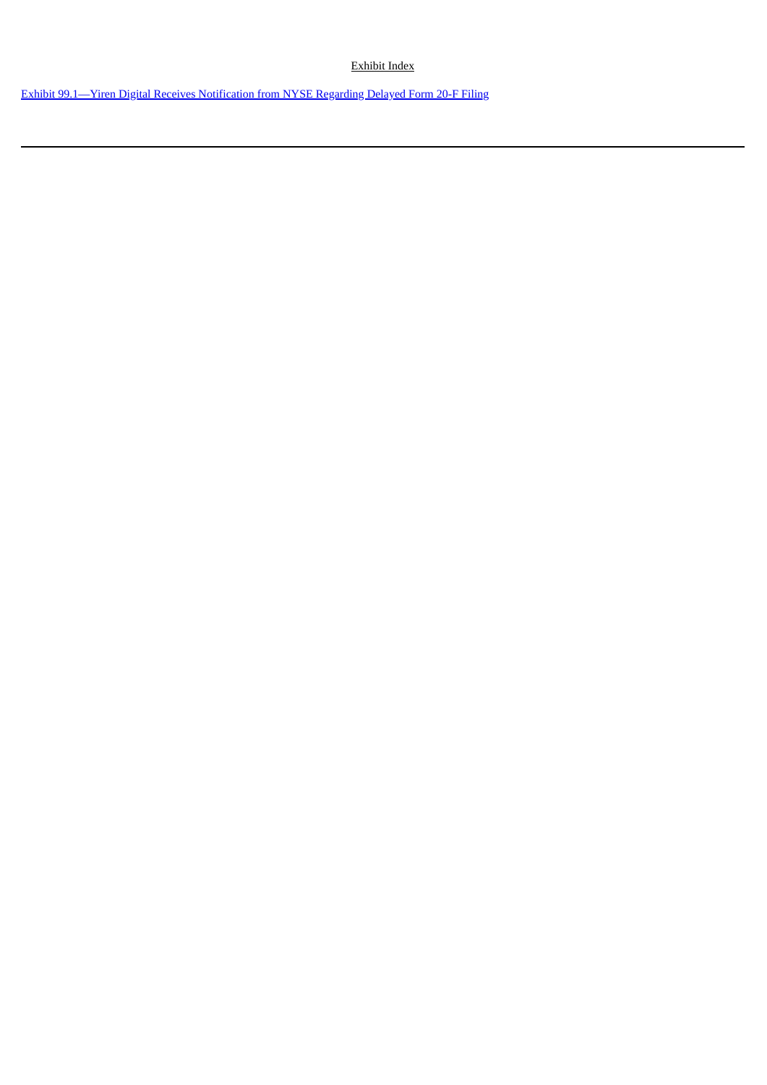Exhibit Index

Exhibit [99.1—Yiren](#page-3-0) Digital Receives Notification from NYSE Regarding Delayed Form 20-F Filing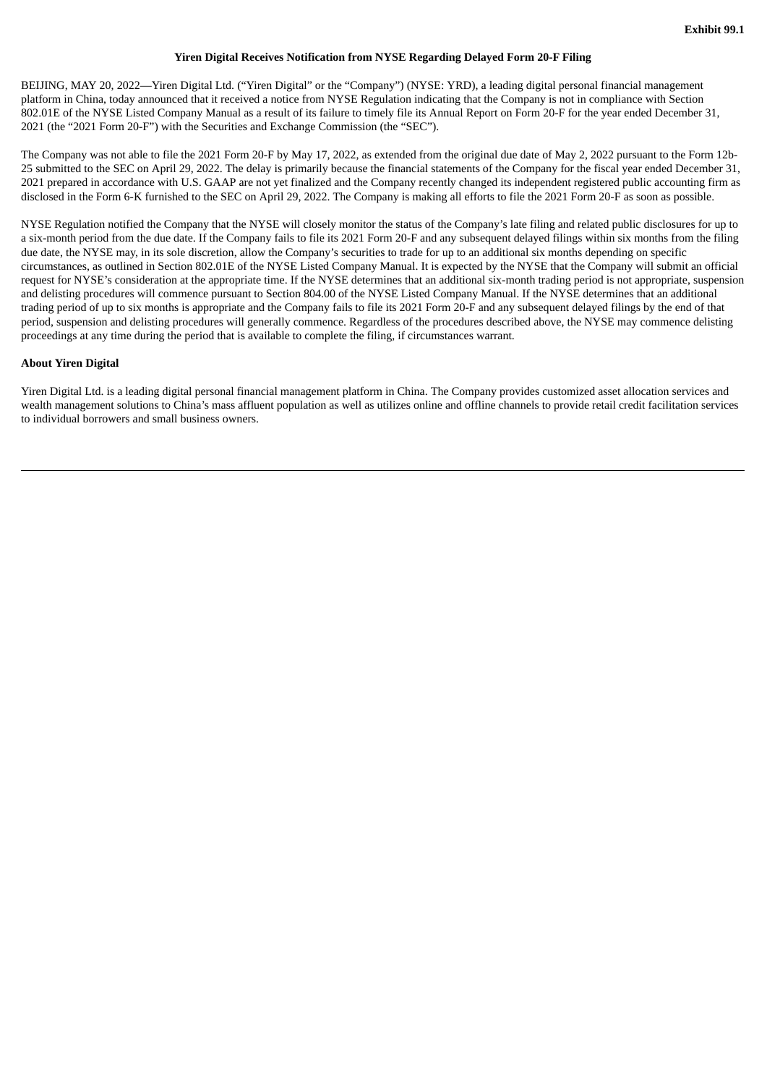#### **Yiren Digital Receives Notification from NYSE Regarding Delayed Form 20-F Filing**

<span id="page-3-0"></span>BEIJING, MAY 20, 2022—Yiren Digital Ltd. ("Yiren Digital" or the "Company") (NYSE: YRD), a leading digital personal financial management platform in China, today announced that it received a notice from NYSE Regulation indicating that the Company is not in compliance with Section 802.01E of the NYSE Listed Company Manual as a result of its failure to timely file its Annual Report on Form 20-F for the year ended December 31, 2021 (the "2021 Form 20-F") with the Securities and Exchange Commission (the "SEC").

The Company was not able to file the 2021 Form 20-F by May 17, 2022, as extended from the original due date of May 2, 2022 pursuant to the Form 12b-25 submitted to the SEC on April 29, 2022. The delay is primarily because the financial statements of the Company for the fiscal year ended December 31, 2021 prepared in accordance with U.S. GAAP are not yet finalized and the Company recently changed its independent registered public accounting firm as disclosed in the Form 6-K furnished to the SEC on April 29, 2022. The Company is making all efforts to file the 2021 Form 20-F as soon as possible.

NYSE Regulation notified the Company that the NYSE will closely monitor the status of the Company's late filing and related public disclosures for up to a six-month period from the due date. If the Company fails to file its 2021 Form 20-F and any subsequent delayed filings within six months from the filing due date, the NYSE may, in its sole discretion, allow the Company's securities to trade for up to an additional six months depending on specific circumstances, as outlined in Section 802.01E of the NYSE Listed Company Manual. It is expected by the NYSE that the Company will submit an official request for NYSE's consideration at the appropriate time. If the NYSE determines that an additional six-month trading period is not appropriate, suspension and delisting procedures will commence pursuant to Section 804.00 of the NYSE Listed Company Manual. If the NYSE determines that an additional trading period of up to six months is appropriate and the Company fails to file its 2021 Form 20-F and any subsequent delayed filings by the end of that period, suspension and delisting procedures will generally commence. Regardless of the procedures described above, the NYSE may commence delisting proceedings at any time during the period that is available to complete the filing, if circumstances warrant.

### **About Yiren Digital**

Yiren Digital Ltd. is a leading digital personal financial management platform in China. The Company provides customized asset allocation services and wealth management solutions to China's mass affluent population as well as utilizes online and offline channels to provide retail credit facilitation services to individual borrowers and small business owners.